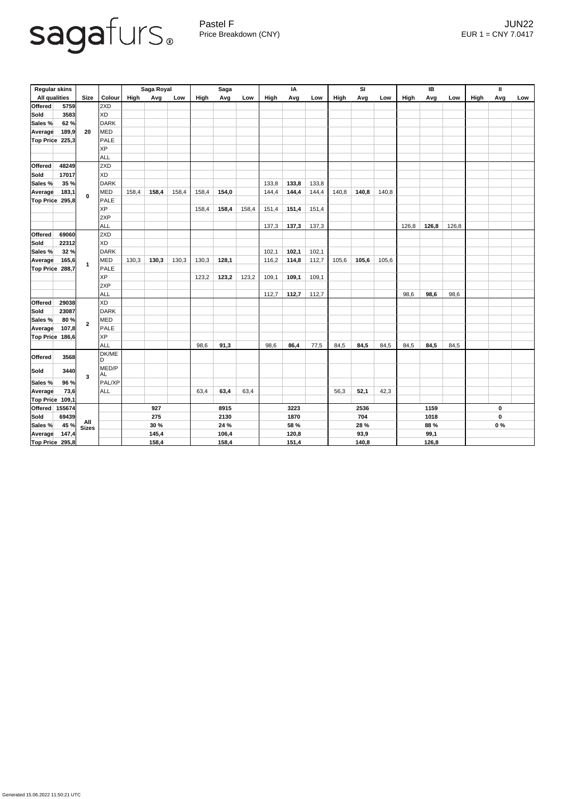

Pastel F Germany and the settlement of the settlement of the settlement of the settlement of the settlement of the settlement of the settlement of the settlement of the settlement of the settlement of the settlement of the Price Breakdown (CNY) EUR 1 = CNY 7.0417

| <b>Regular skins</b>    |                       |                         |              | Saga Royal |       |       | <b>Saga</b> |       |       | IA    |       |       | SI    |       |       | IB          |       |           | $\mathbf{I}$ |     |     |
|-------------------------|-----------------------|-------------------------|--------------|------------|-------|-------|-------------|-------|-------|-------|-------|-------|-------|-------|-------|-------------|-------|-----------|--------------|-----|-----|
| <b>All qualities</b>    |                       | <b>Size</b>             | Colour       | High       | Avg   | Low   | High        | Avg   | Low   | High  | Avg   | Low   | High  | Avg   | Low   | <b>High</b> | Avg   | Low       | <b>High</b>  | Avg | Low |
| <b>Offered</b>          | 5759                  |                         | 2XD          |            |       |       |             |       |       |       |       |       |       |       |       |             |       |           |              |     |     |
| <b>Sold</b>             | 3583                  | 20                      | <b>XD</b>    |            |       |       |             |       |       |       |       |       |       |       |       |             |       |           |              |     |     |
| Sales %                 | 62%                   |                         | <b>DARK</b>  |            |       |       |             |       |       |       |       |       |       |       |       |             |       |           |              |     |     |
| <b>Average</b>          | 189,9                 |                         | <b>MED</b>   |            |       |       |             |       |       |       |       |       |       |       |       |             |       |           |              |     |     |
| Top Price               | 225,3                 |                         | <b>PALE</b>  |            |       |       |             |       |       |       |       |       |       |       |       |             |       |           |              |     |     |
|                         |                       |                         | <b>XP</b>    |            |       |       |             |       |       |       |       |       |       |       |       |             |       |           |              |     |     |
|                         |                       |                         | <b>ALL</b>   |            |       |       |             |       |       |       |       |       |       |       |       |             |       |           |              |     |     |
| <b>Offered</b>          | 48249                 |                         | 2XD          |            |       |       |             |       |       |       |       |       |       |       |       |             |       |           |              |     |     |
| <b>Sold</b>             | 17017                 | $\mathbf 0$             | <b>XD</b>    |            |       |       |             |       |       |       |       |       |       |       |       |             |       |           |              |     |     |
| Sales %                 | 35 %                  |                         | <b>DARK</b>  |            |       |       |             |       |       | 133,8 | 133,8 | 133,8 |       |       |       |             |       |           |              |     |     |
| <b>Average</b>          | 183,1                 |                         | <b>MED</b>   | 158,4      | 158,4 | 158,4 | 158,4       | 154,0 |       | 144,4 | 144,4 | 144,4 | 140,8 | 140,8 | 140,8 |             |       |           |              |     |     |
| Top Price 295,8         |                       |                         | <b>PALE</b>  |            |       |       |             |       |       |       |       |       |       |       |       |             |       |           |              |     |     |
|                         |                       |                         | <b>XP</b>    |            |       |       | 158,4       | 158,4 | 158,4 | 151,4 | 151,4 | 151,4 |       |       |       |             |       |           |              |     |     |
|                         |                       |                         | 2XP          |            |       |       |             |       |       |       |       |       |       |       |       |             |       |           |              |     |     |
|                         |                       |                         | <b>ALL</b>   |            |       |       |             |       |       | 137,3 | 137,3 | 137,3 |       |       |       | 126,8       | 126,8 | 126,8     |              |     |     |
| <b>Offered</b>          | 69060                 |                         | 2XD          |            |       |       |             |       |       |       |       |       |       |       |       |             |       |           |              |     |     |
| <b>Sold</b>             | 22312                 |                         | <b>XD</b>    |            |       |       |             |       |       |       |       |       |       |       |       |             |       |           |              |     |     |
| Sales %                 | 32%                   |                         | <b>DARK</b>  |            |       |       |             |       |       | 102,1 | 102,1 | 102,1 |       |       |       |             |       |           |              |     |     |
| <b>Average</b>          | 165,6                 |                         | <b>MED</b>   | 130,3      | 130,3 | 130,3 | 130,3       | 128,1 |       | 116,2 | 114,8 | 112,7 | 105,6 | 105,6 | 105,6 |             |       |           |              |     |     |
| Top Price 288,7         |                       | $\overline{\mathbf{1}}$ | <b>PALE</b>  |            |       |       |             |       |       |       |       |       |       |       |       |             |       |           |              |     |     |
|                         |                       |                         | <b>XP</b>    |            |       |       | 123,2       | 123,2 | 123,2 | 109,1 | 109,1 | 109,1 |       |       |       |             |       |           |              |     |     |
|                         |                       |                         | 2XP          |            |       |       |             |       |       |       |       |       |       |       |       |             |       |           |              |     |     |
|                         |                       |                         | ALL          |            |       |       |             |       |       | 112,7 | 112,7 | 112,7 |       |       |       | 98,6        | 98,6  | 98,6      |              |     |     |
| Offered                 | 29038                 | $\overline{2}$          | <b>XD</b>    |            |       |       |             |       |       |       |       |       |       |       |       |             |       |           |              |     |     |
| Sold                    | 23087                 |                         | DARK         |            |       |       |             |       |       |       |       |       |       |       |       |             |       |           |              |     |     |
| Sales %                 | 80%                   |                         | <b>MED</b>   |            |       |       |             |       |       |       |       |       |       |       |       |             |       |           |              |     |     |
| <b>Average</b>          | 107,8                 |                         | <b>PALE</b>  |            |       |       |             |       |       |       |       |       |       |       |       |             |       |           |              |     |     |
| Top Price 186,6         |                       |                         | <b>XP</b>    |            |       |       |             |       |       |       |       |       |       |       |       |             |       |           |              |     |     |
|                         |                       |                         | <b>ALL</b>   |            |       |       | 98,6        | 91,3  |       | 98,6  | 86,4  | 77,5  | 84,5  | 84,5  | 84,5  | 84,5        | 84,5  | 84,5      |              |     |     |
| <b>Offered</b>          | 3568                  |                         | DK/ME        |            |       |       |             |       |       |       |       |       |       |       |       |             |       |           |              |     |     |
|                         |                       |                         | ID.<br>MED/P |            |       |       |             |       |       |       |       |       |       |       |       |             |       |           |              |     |     |
| Sold                    | 3440                  | $\mathbf{3}$            | <b>AL</b>    |            |       |       |             |       |       |       |       |       |       |       |       |             |       |           |              |     |     |
| Sales %                 | 96 %                  |                         | PAL/XP       |            |       |       |             |       |       |       |       |       |       |       |       |             |       |           |              |     |     |
| Average                 | 73,6                  |                         | ALL          |            |       |       | 63,4        | 63,4  | 63,4  |       |       |       | 56,3  | 52,1  | 42,3  |             |       |           |              |     |     |
| $\vert$ Top Price 109,1 |                       |                         |              |            |       |       |             |       |       |       |       |       |       |       |       |             |       |           |              |     |     |
|                         | <b>Offered</b> 155674 |                         |              | 927        |       | 8915  |             |       | 3223  |       |       | 2536  |       |       | 1159  |             |       | $\pmb{0}$ |              |     |     |
| Sold                    | 69439                 | <b>All<br/>Sizes</b>    |              | 275        |       |       | 2130        |       |       | 1870  |       |       | 704   |       |       | 1018        |       |           | $\pmb{0}$    |     |     |
| Sales % 45 %            |                       |                         |              | 30 %       |       |       | 24 %        |       |       | 58 %  |       |       | 28 %  |       |       | 88 %        |       |           | $0\%$        |     |     |
| <b>Average</b>          | 147,4                 |                         |              | 145,4      |       |       | 106,4       |       |       | 120,8 |       |       | 93,9  |       |       | 99,1        |       |           |              |     |     |
| <b>Top Price 295,8</b>  |                       |                         |              | 158,4      |       |       | 158,4       |       |       | 151,4 |       |       | 140,8 |       |       | 126,8       |       |           |              |     |     |